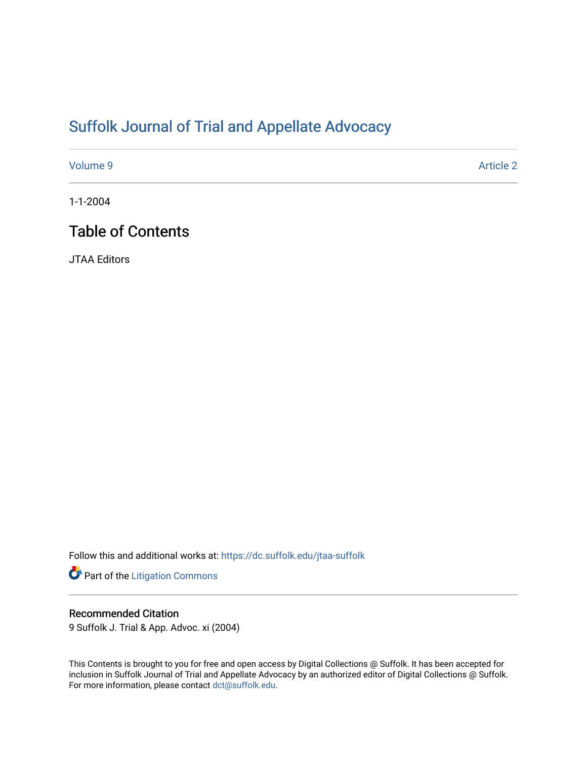## [Suffolk Journal of Trial and Appellate Advocacy](https://dc.suffolk.edu/jtaa-suffolk)

[Volume 9](https://dc.suffolk.edu/jtaa-suffolk/vol9) [Article 2](https://dc.suffolk.edu/jtaa-suffolk/vol9/iss1/2) 

1-1-2004

## Table of Contents

JTAA Editors

Follow this and additional works at: [https://dc.suffolk.edu/jtaa-suffolk](https://dc.suffolk.edu/jtaa-suffolk?utm_source=dc.suffolk.edu%2Fjtaa-suffolk%2Fvol9%2Fiss1%2F2&utm_medium=PDF&utm_campaign=PDFCoverPages) 

Part of the [Litigation Commons](http://network.bepress.com/hgg/discipline/910?utm_source=dc.suffolk.edu%2Fjtaa-suffolk%2Fvol9%2Fiss1%2F2&utm_medium=PDF&utm_campaign=PDFCoverPages)

#### Recommended Citation

9 Suffolk J. Trial & App. Advoc. xi (2004)

This Contents is brought to you for free and open access by Digital Collections @ Suffolk. It has been accepted for inclusion in Suffolk Journal of Trial and Appellate Advocacy by an authorized editor of Digital Collections @ Suffolk. For more information, please contact [dct@suffolk.edu](mailto:dct@suffolk.edu).